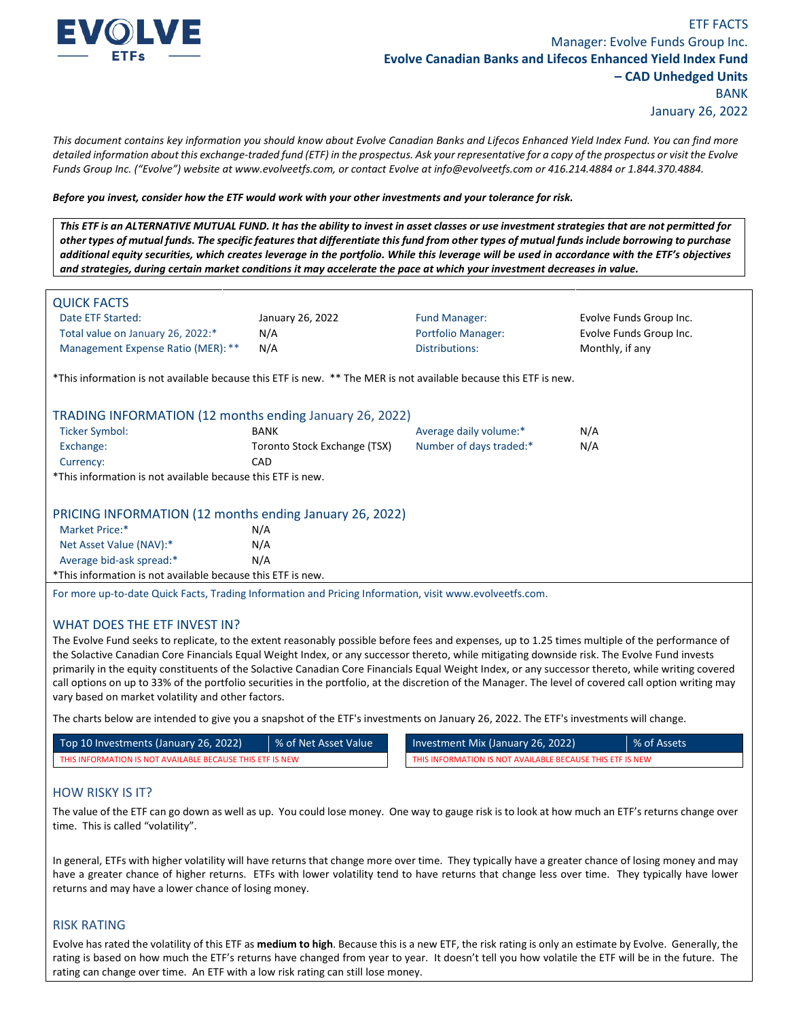

*This document contains key information you should know about Evolve Canadian Banks and Lifecos Enhanced Yield Index Fund. You can find more detailed information about this exchange-traded fund (ETF) in the prospectus. Ask your representative for a copy of the prospectus or visit the Evolve Funds Group Inc. ("Evolve") website at www.evolveetfs.com, or contact Evolve at info@evolveetfs.com or 416.214.4884 or 1.844.370.4884.* 

#### *Before you invest, consider how the ETF would work with your other investments and your tolerance for risk.*

*This ETF is an ALTERNATIVE MUTUAL FUND. It has the ability to invest in asset classes or use investment strategies that are not permitted for other types of mutual funds. The specific features that differentiate this fund from other types of mutual funds include borrowing to purchase additional equity securities, which creates leverage in the portfolio. While this leverage will be used in accordance with the ETF's objectives and strategies, during certain market conditions it may accelerate the pace at which your investment decreases in value.* 

| <b>QUICK FACTS</b>                                                                                               |                              |                           |                         |
|------------------------------------------------------------------------------------------------------------------|------------------------------|---------------------------|-------------------------|
| Date ETF Started:                                                                                                | January 26, 2022             | <b>Fund Manager:</b>      | Evolve Funds Group Inc. |
| Total value on January 26, 2022:*                                                                                | N/A                          | <b>Portfolio Manager:</b> | Evolve Funds Group Inc. |
| Management Expense Ratio (MER): **                                                                               | N/A                          | Distributions:            | Monthly, if any         |
| *This information is not available because this ETF is new. ** The MER is not available because this ETF is new. |                              |                           |                         |
| TRADING INFORMATION (12 months ending January 26, 2022)                                                          |                              |                           |                         |
| Ticker Symbol:                                                                                                   | <b>BANK</b>                  | Average daily volume:*    | N/A                     |
| Exchange:                                                                                                        | Toronto Stock Exchange (TSX) | Number of days traded:*   | N/A                     |
| Currency:                                                                                                        | <b>CAD</b>                   |                           |                         |
| *This information is not available because this ETF is new.                                                      |                              |                           |                         |
| PRICING INFORMATION (12 months ending January 26, 2022)                                                          |                              |                           |                         |
| Market Price:*                                                                                                   | N/A                          |                           |                         |
| Net Asset Value (NAV):*                                                                                          | N/A                          |                           |                         |
| Average bid-ask spread:*                                                                                         | N/A                          |                           |                         |
| *This information is not available because this ETF is new.                                                      |                              |                           |                         |
| For more up-to-date Quick Facts, Trading Information and Pricing Information, visit www.evolveetfs.com.          |                              |                           |                         |

### WHAT DOES THE ETF INVEST IN?

The Evolve Fund seeks to replicate, to the extent reasonably possible before fees and expenses, up to 1.25 times multiple of the performance of the Solactive Canadian Core Financials Equal Weight Index, or any successor thereto, while mitigating downside risk. The Evolve Fund invests primarily in the equity constituents of the Solactive Canadian Core Financials Equal Weight Index, or any successor thereto, while writing covered call options on up to 33% of the portfolio securities in the portfolio, at the discretion of the Manager. The level of covered call option writing may vary based on market volatility and other factors.

The charts below are intended to give you a snapshot of the ETF's investments on January 26, 2022. The ETF's investments will change.

| Top 10 Investments (January 26, 2022)                     | % of Net Asset Value | Investment Mix (January 26, 2022)                         | % of Assets |
|-----------------------------------------------------------|----------------------|-----------------------------------------------------------|-------------|
| THIS INFORMATION IS NOT AVAILABLE BECAUSE THIS ETF IS NEW |                      | THIS INFORMATION IS NOT AVAILABLE BECAUSE THIS ETF IS NEW |             |

| Investment Mix (January 26, 2022)                         | ■ % of Assets |
|-----------------------------------------------------------|---------------|
| THIS INFORMATION IS NOT AVAILABLE BECAUSE THIS ETF IS NEW |               |

### HOW RISKY IS IT?

The value of the ETF can go down as well as up. You could lose money. One way to gauge risk is to look at how much an ETF's returns change over time. This is called "volatility".

In general, ETFs with higher volatility will have returns that change more over time. They typically have a greater chance of losing money and may have a greater chance of higher returns. ETFs with lower volatility tend to have returns that change less over time. They typically have lower returns and may have a lower chance of losing money.

### RISK RATING

Evolve has rated the volatility of this ETF as **medium to high**. Because this is a new ETF, the risk rating is only an estimate by Evolve. Generally, the rating is based on how much the ETF's returns have changed from year to year. It doesn't tell you how volatile the ETF will be in the future. The rating can change over time. An ETF with a low risk rating can still lose money.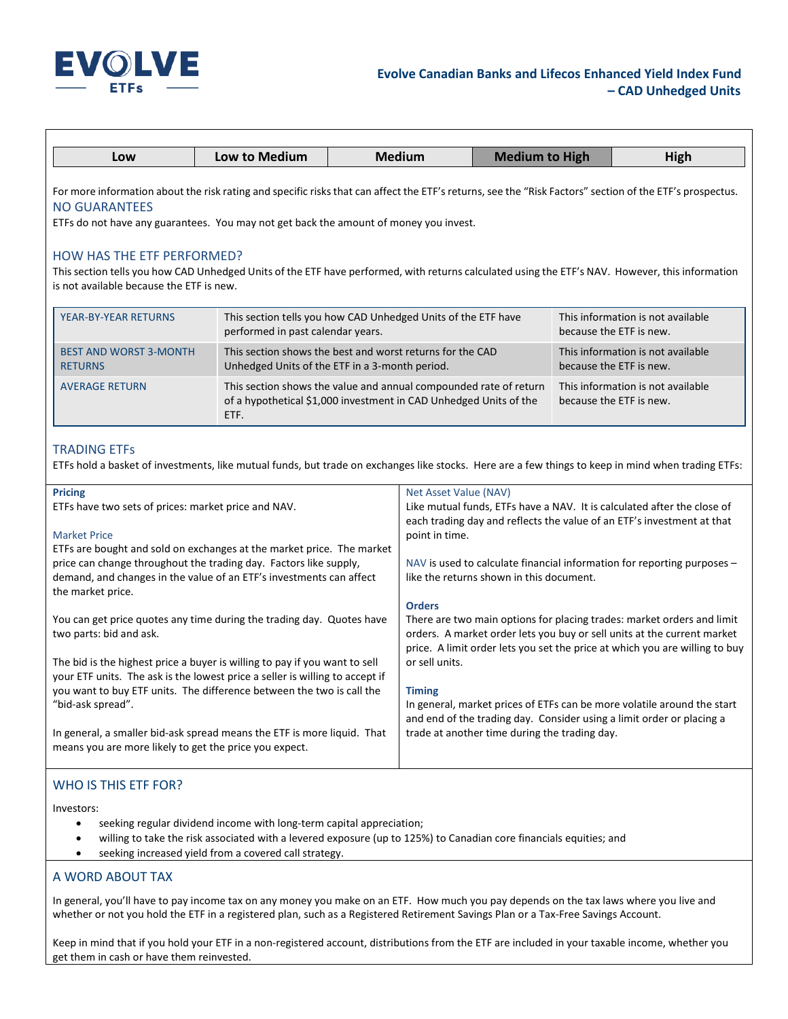

| Low                                                                                                                                                                                                                                                                       | Low to Medium                     | <b>Medium</b>                                                                                                                          | <b>Medium to High</b> | High                                                         |
|---------------------------------------------------------------------------------------------------------------------------------------------------------------------------------------------------------------------------------------------------------------------------|-----------------------------------|----------------------------------------------------------------------------------------------------------------------------------------|-----------------------|--------------------------------------------------------------|
| For more information about the risk rating and specific risks that can affect the ETF's returns, see the "Risk Factors" section of the ETF's prospectus.<br><b>NO GUARANTEES</b><br>ETFs do not have any guarantees. You may not get back the amount of money you invest. |                                   |                                                                                                                                        |                       |                                                              |
| <b>HOW HAS THE ETF PERFORMED?</b><br>This section tells you how CAD Unhedged Units of the ETF have performed, with returns calculated using the ETF's NAV. However, this information<br>is not available because the ETF is new.                                          |                                   |                                                                                                                                        |                       |                                                              |
| <b>YEAR-BY-YEAR RETURNS</b>                                                                                                                                                                                                                                               | performed in past calendar years. | This section tells you how CAD Unhedged Units of the ETF have                                                                          |                       | This information is not available<br>because the ETF is new. |
| <b>BEST AND WORST 3-MONTH</b><br><b>RETURNS</b>                                                                                                                                                                                                                           |                                   | This section shows the best and worst returns for the CAD<br>Unhedged Units of the ETF in a 3-month period.                            |                       | This information is not available<br>because the ETF is new. |
| <b>AVERAGE RETURN</b>                                                                                                                                                                                                                                                     | ETF.                              | This section shows the value and annual compounded rate of return<br>of a hypothetical \$1,000 investment in CAD Unhedged Units of the |                       | This information is not available<br>because the ETF is new. |

### TRADING ETFs

ETFs hold a basket of investments, like mutual funds, but trade on exchanges like stocks. Here are a few things to keep in mind when trading ETFs:

| Net Asset Value (NAV)<br>Like mutual funds, ETFs have a NAV. It is calculated after the close of<br>each trading day and reflects the value of an ETF's investment at that<br>point in time.<br>$NAV$ is used to calculate financial information for reporting purposes $-$ |
|-----------------------------------------------------------------------------------------------------------------------------------------------------------------------------------------------------------------------------------------------------------------------------|
| like the returns shown in this document.<br><b>Orders</b>                                                                                                                                                                                                                   |
| There are two main options for placing trades: market orders and limit<br>orders. A market order lets you buy or sell units at the current market<br>price. A limit order lets you set the price at which you are willing to buy                                            |
| or sell units.                                                                                                                                                                                                                                                              |
| <b>Timing</b><br>In general, market prices of ETFs can be more volatile around the start<br>and end of the trading day. Consider using a limit order or placing a                                                                                                           |
| trade at another time during the trading day.                                                                                                                                                                                                                               |
| ETFs are bought and sold on exchanges at the market price. The market                                                                                                                                                                                                       |

## WHO IS THIS ETF FOR?

Investors:

- seeking regular dividend income with long-term capital appreciation;
- willing to take the risk associated with a levered exposure (up to 125%) to Canadian core financials equities; and
- seeking increased yield from a covered call strategy.

# A WORD ABOUT TAX

In general, you'll have to pay income tax on any money you make on an ETF. How much you pay depends on the tax laws where you live and whether or not you hold the ETF in a registered plan, such as a Registered Retirement Savings Plan or a Tax-Free Savings Account.

Keep in mind that if you hold your ETF in a non-registered account, distributions from the ETF are included in your taxable income, whether you get them in cash or have them reinvested.